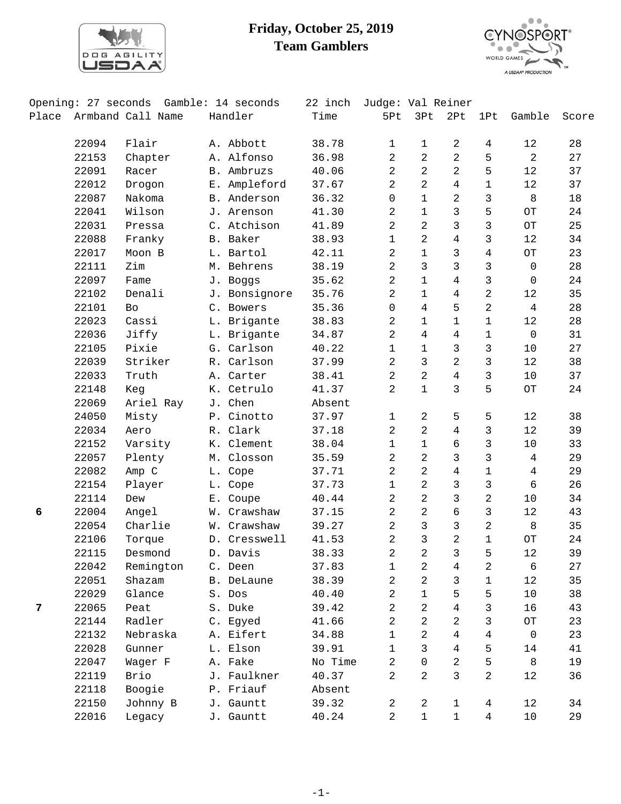

## **Friday, October 25, 2019 Team Gamblers**



|       | Opening: 27 seconds<br>Gamble: 14 seconds |                   | 22 inch       | Judge: Val Reiner |                |                |                |                |              |       |
|-------|-------------------------------------------|-------------------|---------------|-------------------|----------------|----------------|----------------|----------------|--------------|-------|
| Place |                                           | Armband Call Name | Handler       | Time              | 5Pt            | 3Pt            | 2Pt            | 1Pt            | Gamble       | Score |
|       | 22094                                     | Flair             | A. Abbott     | 38.78             | $\mathbf{1}$   | $\mathbf{1}$   | $\overline{2}$ | 4              | 12           | 28    |
|       | 22153                                     | Chapter           | A. Alfonso    | 36.98             | 2              | $\overline{2}$ | $\overline{a}$ | 5              | 2            | 27    |
|       | 22091                                     | Racer             | B. Ambruzs    | 40.06             | 2              | $\overline{2}$ | $\overline{a}$ | 5              | 12           | 37    |
|       | 22012                                     | Drogon            | E. Ampleford  | 37.67             | 2              | $\overline{2}$ | $\overline{4}$ | $\mathbf 1$    | 12           | 37    |
|       | 22087                                     | Nakoma            | B. Anderson   | 36.32             | 0              | $\mathbf{1}$   | $\overline{2}$ | 3              | 8            | 18    |
|       | 22041                                     | Wilson            | J. Arenson    | 41.30             | 2              | $\mathbf{1}$   | 3              | 5              | OT           | 24    |
|       | 22031                                     | Pressa            | C. Atchison   | 41.89             | 2              | $\overline{2}$ | 3              | 3              | OT           | 25    |
|       | 22088                                     | Franky            | B. Baker      | 38.93             | $\mathbf{1}$   | $\overline{2}$ | $\overline{4}$ | 3              | 12           | 34    |
|       | 22017                                     | Moon B            | L. Bartol     | 42.11             | $\overline{2}$ | $\mathbf{1}$   | $\mathsf{3}$   | $\overline{4}$ | $\hbox{OT}$  | 23    |
|       | 22111                                     | Zim               | M. Behrens    | 38.19             | 2              | 3              | $\mathsf{3}$   | 3              | $\mathbf 0$  | 28    |
|       | 22097                                     | Fame              | J. Boggs      | 35.62             | 2              | $\mathbf{1}$   | $\overline{4}$ | 3              | $\Omega$     | 24    |
|       | 22102                                     | Denali            | J. Bonsignore | 35.76             | 2              | $\mathbf{1}$   | $\overline{4}$ | 2              | 12           | 35    |
|       | 22101                                     | Bo                | C. Bowers     | 35.36             | $\mathbf 0$    | $\overline{4}$ | 5              | 2              | 4            | 28    |
|       | 22023                                     | Cassi             | L. Brigante   | 38.83             | 2              | $\mathbf{1}$   | $\mathbf{1}$   | $\mathbf{1}$   | 12           | 28    |
|       | 22036                                     | Jiffy             | L. Brigante   | 34.87             | 2              | 4              | $\overline{4}$ | 1              | $\mathbf 0$  | 31    |
|       | 22105                                     | Pixie             | G. Carlson    | 40.22             | $\mathbf{1}$   | $\mathbf{1}$   | 3              | $\mathfrak{Z}$ | 10           | 27    |
|       | 22039                                     | Striker           | R. Carlson    | 37.99             | 2              | $\mathfrak{Z}$ | $\overline{a}$ | 3              | 12           | 38    |
|       | 22033                                     | Truth             | A. Carter     | 38.41             | 2              | 2              | $\overline{4}$ | $\mathfrak{Z}$ | 10           | 37    |
|       | 22148                                     | Keg               | K. Cetrulo    | 41.37             | $\overline{a}$ | $\mathbf{1}$   | $\mathbf{3}$   | 5              | $\hbox{OT}$  | 24    |
|       | 22069                                     | Ariel Ray         | J. Chen       | Absent            |                |                |                |                |              |       |
|       | 24050                                     | Misty             | P. Cinotto    | 37.97             | $\mathbf{1}$   | $\overline{2}$ | 5              | 5              | 12           | 38    |
|       | 22034                                     | Aero              | R. Clark      | 37.18             | 2              | $\overline{2}$ | $\overline{4}$ | 3              | 12           | 39    |
|       | 22152                                     | Varsity           | K. Clement    | 38.04             | $\mathbf{1}$   | $\mathbf{1}$   | 6              | 3              | 10           | 33    |
|       | 22057                                     | Plenty            | M. Closson    | 35.59             | 2              | $\overline{2}$ | 3              | 3              | 4            | 29    |
|       | 22082                                     | Amp C             | L. Cope       | 37.71             | 2              | $\overline{2}$ | $\overline{4}$ | $\mathbf{1}$   | 4            | 29    |
|       | 22154                                     | Player            | L. Cope       | 37.73             | $\mathbf{1}$   | $\overline{2}$ | $\mathsf{3}$   | 3              | 6            | 26    |
|       | 22114                                     | Dew               | Ε.<br>Coupe   | 40.44             | 2              | 2              | 3              | 2              | 10           | 34    |
| 6     | 22004                                     | Angel             | W. Crawshaw   | 37.15             | 2              | $\overline{2}$ | 6              | 3              | 12           | 43    |
|       | 22054                                     | Charlie           | W. Crawshaw   | 39.27             | 2              | $\mathsf{3}$   | 3              | 2              | 8            | 35    |
|       | 22106                                     | Torque            | D. Cresswell  | 41.53             | $\overline{2}$ | $\overline{3}$ | $\overline{a}$ | $\mathbf 1$    | OT           | 24    |
|       | 22115                                     | Desmond           | D. Davis      | 38.33             | $\overline{2}$ | 2              | 3              | 5              | 12           | 39    |
|       | 22042                                     | Remington         | C. Deen       | 37.83             | $\mathbf{1}$   | 2              | 4              | 2              | 6            | 27    |
|       | 22051                                     | Shazam            | B. DeLaune    | 38.39             | 2              | $\overline{2}$ | $\mathsf{3}$   | $\mathbf 1$    | 12           | 35    |
|       | 22029                                     | Glance            | S. Dos        | 40.40             | 2              | $\mathbf{1}$   | 5              | 5              | 10           | 38    |
| 7     | 22065                                     | Peat              | S. Duke       | 39.42             | 2              | $\overline{2}$ | $\overline{4}$ | 3              | 16           | 43    |
|       | 22144                                     | Radler            | C. Egyed      | 41.66             | 2              | $\overline{a}$ | 2              | 3              | $\hbox{OT}$  | 23    |
|       | 22132                                     | Nebraska          | A. Eifert     | 34.88             | $\mathbf 1$    | $\overline{2}$ | $\overline{4}$ | 4              | $\mathsf{O}$ | 23    |
|       | 22028                                     | Gunner            | L. Elson      | 39.91             | $\mathbf{1}$   | $\mathbf{3}$   | $\overline{4}$ | 5              | 14           | 41    |
|       | 22047                                     | Wager F           | A. Fake       | No Time           | 2              | 0              | $\overline{2}$ | 5              | 8            | 19    |
|       | 22119                                     | Brio              | J. Faulkner   | 40.37             | 2              | 2              | $\mathsf{3}$   | 2              | 12           | 36    |
|       | 22118                                     | Boogie            | P. Friauf     | Absent            |                |                |                |                |              |       |
|       | 22150                                     | Johnny B          | J. Gauntt     | 39.32             | $\sqrt{2}$     | $\overline{a}$ | $\mathbf 1$    | 4              | $12$         | 34    |
|       | 22016                                     | Legacy            | J. Gauntt     | 40.24             | 2              | $\mathbf{1}$   | $\mathbf{1}$   | $\overline{4}$ | 10           | 29    |
|       |                                           |                   |               |                   |                |                |                |                |              |       |

-1-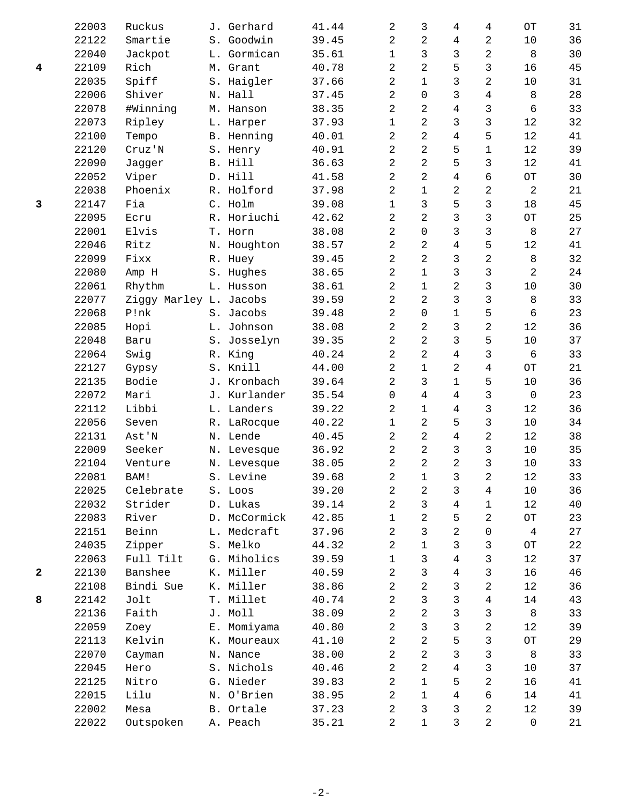|   | 22003 | Ruckus                 |    | J. Gerhard   | 41.44 | 2              | 3              | 4              | 4              | OT                 | 31 |
|---|-------|------------------------|----|--------------|-------|----------------|----------------|----------------|----------------|--------------------|----|
|   | 22122 | Smartie                | S. | Goodwin      | 39.45 | $\overline{2}$ | $\overline{2}$ | 4              | 2              | 10                 | 36 |
|   | 22040 | Jackpot                |    | L. Gormican  | 35.61 | $\mathbf 1$    | 3              | 3              | 2              | 8                  | 30 |
| 4 | 22109 | Rich                   | М. | Grant        | 40.78 | 2              | 2              | 5              | 3              | 16                 | 45 |
|   | 22035 | Spiff                  |    | S. Haigler   | 37.66 | 2              | $\mathbf{1}$   | 3              | 2              | 10                 | 31 |
|   | 22006 | Shiver                 |    | N. Hall      | 37.45 | $\overline{2}$ | 0              | 3              | 4              | $\,8\,$            | 28 |
|   | 22078 | #Winning               |    | M. Hanson    | 38.35 | $\overline{a}$ | $\overline{2}$ | $\overline{4}$ | 3              | 6                  | 33 |
|   | 22073 | Ripley                 |    | L. Harper    | 37.93 | $\mathbf{1}$   | $\overline{2}$ | 3              | 3              | 12                 | 32 |
|   | 22100 | Tempo                  |    | B. Henning   | 40.01 | 2              | $\overline{a}$ | 4              | 5              | 12                 | 41 |
|   | 22120 | Cruz'N                 |    | S. Henry     | 40.91 | $\overline{a}$ | $\overline{2}$ | 5              | $\mathbf 1$    | 12                 | 39 |
|   | 22090 | Jagger                 |    | B. Hill      | 36.63 | $\overline{a}$ | $\overline{2}$ | 5              | 3              | 12                 | 41 |
|   | 22052 | Viper                  |    | D. Hill      | 41.58 | 2              | 2              | 4              | 6              | OT                 | 30 |
|   | 22038 | Phoenix                |    | R. Holford   | 37.98 | 2              | $\mathbf{1}$   | 2              | 2              | $\overline{2}$     | 21 |
| 3 | 22147 | Fia                    |    | C. Holm      | 39.08 | $\mathbf{1}$   | 3              | 5              | 3              | 18                 | 45 |
|   | 22095 | Ecru                   |    | R. Horiuchi  | 42.62 | $\overline{a}$ | $\overline{2}$ | 3              | 3              | $\hbox{OT}$        | 25 |
|   | 22001 | Elvis                  |    | T. Horn      | 38.08 | $\overline{2}$ | 0              | 3              | 3              | 8                  | 27 |
|   | 22046 | Ritz                   |    | N. Houghton  | 38.57 | $\overline{2}$ | 2              | $\overline{4}$ | 5              | 12                 | 41 |
|   | 22099 | Fixx                   |    | R. Huey      | 39.45 | $\overline{2}$ | $\overline{2}$ | 3              | 2              | 8                  | 32 |
|   | 22080 | Amp H                  |    | S. Hughes    | 38.65 | $\overline{a}$ | $\mathbf{1}$   | 3              | 3              | $\overline{a}$     | 24 |
|   | 22061 | Rhythm                 |    | L. Husson    | 38.61 | 2              | $\mathbf{1}$   | 2              | 3              | 10                 | 30 |
|   | 22077 | Ziggy Marley L. Jacobs |    |              | 39.59 | $\overline{2}$ | 2              | 3              | 3              | 8                  | 33 |
|   | 22068 | P!nk                   |    | S. Jacobs    | 39.48 | 2              | 0              | $\mathbf 1$    | 5              | 6                  | 23 |
|   | 22085 |                        |    | L. Johnson   |       | 2              | 2              | 3              | 2              | 12                 | 36 |
|   |       | Hopi                   |    |              | 38.08 |                | $\overline{2}$ | 3              |                |                    |    |
|   | 22048 | Baru                   |    | S. Josselyn  | 39.35 | 2              |                |                | 5              | 10                 | 37 |
|   | 22064 | Swig                   |    | R. King      | 40.24 | 2              | 2              | 4              | 3              | 6                  | 33 |
|   | 22127 | Gypsy                  |    | S. Knill     | 44.00 | 2              | $\mathbf 1$    | 2              | 4              | OT                 | 21 |
|   | 22135 | Bodie                  |    | J. Kronbach  | 39.64 | $\overline{a}$ | 3              | 1              | 5              | 10                 | 36 |
|   | 22072 | Mari                   |    | J. Kurlander | 35.54 | $\mathbf 0$    | $\overline{4}$ | 4              | 3              | $\mathbf 0$        | 23 |
|   | 22112 | Libbi                  |    | L. Landers   | 39.22 | 2              | $\mathbf 1$    | 4              | 3              | 12                 | 36 |
|   | 22056 | Seven                  |    | R. LaRocque  | 40.22 | $\mathbf{1}$   | 2              | 5              | 3              | 10                 | 34 |
|   | 22131 | Ast'N                  |    | N. Lende     | 40.45 | $\overline{a}$ | 2              | 4              | 2              | 12                 | 38 |
|   | 22009 | Seeker                 |    | N. Levesque  | 36.92 | 2              | $\overline{2}$ | 3              | 3              | 10                 | 35 |
|   | 22104 | Venture                |    | N. Levesque  | 38.05 | 2              | $\overline{2}$ | $\overline{2}$ | 3              | 10                 | 33 |
|   | 22081 | BAM!                   |    | S. Levine    | 39.68 | 2              | $\mathbf 1$    | 3              | 2              | $12$               | 33 |
|   | 22025 | Celebrate              |    | S. Loos      | 39.20 | 2              | 2              | 3              | 4              | $10$               | 36 |
|   | 22032 | Strider                |    | D. Lukas     | 39.14 | 2              | 3              | 4              | 1              | 12                 | 40 |
|   | 22083 | River                  |    | D. McCormick | 42.85 | 1              | 2              | 5              | 2              | $\hbox{OT}$        | 23 |
|   | 22151 | Beinn                  |    | L. Medcraft  | 37.96 | 2              | 3              | 2              | 0              | 4                  | 27 |
|   | 24035 | Zipper                 |    | S. Melko     | 44.32 | 2              | $\mathbf 1$    | 3              | 3              | $\hbox{O}\hbox{T}$ | 22 |
|   | 22063 | Full Tilt              |    | G. Miholics  | 39.59 | $\mathbf{1}$   | 3              | 4              | 3              | 12                 | 37 |
| 2 | 22130 | Banshee                |    | K. Miller    | 40.59 | 2              | 3              | 4              | 3              | 16                 | 46 |
|   | 22108 | Bindi Sue              |    | K. Miller    | 38.86 | 2              | 2              | 3              | 2              | 12                 | 36 |
| 8 | 22142 | Jolt                   |    | T. Millet    | 40.74 | 2              | 3              | 3              | $\overline{4}$ | 14                 | 43 |
|   | 22136 | Faith                  |    | J. Moll      | 38.09 | 2              | $\overline{2}$ | 3              | 3              | $\,8\,$            | 33 |
|   | 22059 | Zoey                   |    | E. Momiyama  | 40.80 | 2              | 3              | 3              | 2              | 12                 | 39 |
|   | 22113 | Kelvin                 |    | K. Moureaux  | 41.10 | 2              | 2              | 5              | 3              | $\hbox{OT}$        | 29 |
|   | 22070 | Cayman                 |    | N. Nance     | 38.00 | 2              | 2              | 3              | 3              | 8                  | 33 |
|   | 22045 | Hero                   |    | S. Nichols   | 40.46 | 2              | 2              | 4              | 3              | $10$               | 37 |
|   | 22125 | Nitro                  |    | G. Nieder    | 39.83 | 2              | $\mathbf 1$    | 5              | 2              | 16                 | 41 |
|   | 22015 | Lilu                   |    | N. O'Brien   | 38.95 | 2              | $\mathbf 1$    | 4              | 6              | 14                 | 41 |
|   | 22002 | Mesa                   |    | B. Ortale    | 37.23 | 2              | 3              | 3              | 2              | 12                 | 39 |
|   |       |                        |    |              |       | 2              | $\mathbf{1}$   | 3              | 2              |                    |    |
|   | 22022 | Outspoken              |    | A. Peach     | 35.21 |                |                |                |                | $\mathsf 0$        | 21 |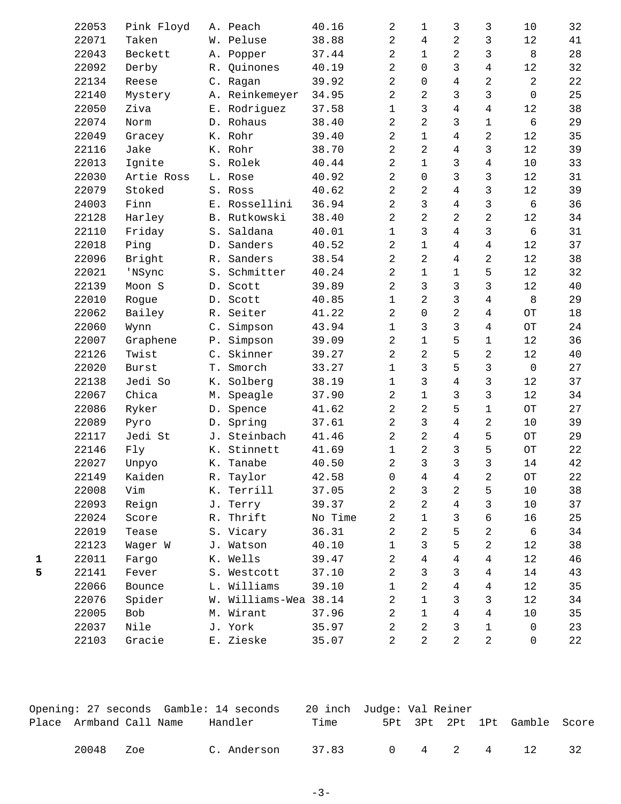|              | 22053 | Pink Floyd   |               | A. Peach              | 40.16   | 2              | $\mathbf{1}$     | 3              | 3                   | 10             | 32 |
|--------------|-------|--------------|---------------|-----------------------|---------|----------------|------------------|----------------|---------------------|----------------|----|
|              | 22071 | Taken        |               | W. Peluse             | 38.88   | $\overline{2}$ | $\overline{4}$   | $\overline{2}$ | 3                   | 12             | 41 |
|              | 22043 | Beckett      |               | A. Popper             | 37.44   | $\overline{a}$ | $\mathbf{1}$     | $\overline{2}$ | 3                   | 8              | 28 |
|              | 22092 | Derby        | R.            | Quinones              | 40.19   | 2              | $\Omega$         | 3              | 4                   | 12             | 32 |
|              | 22134 | Reese        |               | C. Ragan              | 39.92   | 2              | $\Omega$         | 4              | 2                   | $\overline{a}$ | 22 |
|              | 22140 | Mystery      |               | A. Reinkemeyer        | 34.95   | 2              | $\overline{a}$   | 3              | 3                   | $\mathsf 0$    | 25 |
|              | 22050 | Ziva         |               | E. Rodriguez          | 37.58   | $\mathbf{1}$   | 3                | 4              | $\overline{4}$      | 12             | 38 |
|              | 22074 | Norm         |               | D. Rohaus             | 38.40   | $\overline{a}$ | $\overline{2}$   | 3              | $\mathbf{1}$        | 6              | 29 |
|              | 22049 | Gracey       |               | K. Rohr               | 39.40   | 2              | $\mathbf{1}$     | 4              | 2                   | 12             | 35 |
|              | 22116 | Jake         |               | K. Rohr               | 38.70   | $\overline{2}$ | $\overline{a}$   | 4              | 3                   | 12             | 39 |
|              | 22013 | Ignite       |               | S. Rolek              | 40.44   | $\overline{a}$ | $\mathbf 1$      | 3              | $\overline{4}$      | 10             | 33 |
|              | 22030 | Artie Ross   |               | L. Rose               | 40.92   | 2              | $\Omega$         | 3              | 3                   | 12             | 31 |
|              | 22079 | Stoked       |               | S. Ross               | 40.62   | 2              | 2                | 4              | 3                   | 12             | 39 |
|              | 24003 | Finn         |               | E. Rossellini         | 36.94   | $\overline{2}$ | 3                | 4              | 3                   | $6\,$          | 36 |
|              | 22128 | Harley       |               | B. Rutkowski          | 38.40   | 2              | $\overline{2}$   | $\overline{a}$ | $\overline{c}$      | 12             | 34 |
|              | 22110 | Friday       | $S$ .         | Saldana               | 40.01   | $\mathbf{1}$   | 3                | 4              | 3                   | 6              | 31 |
|              | 22018 | Ping         | D.            | Sanders               | 40.52   | 2              | $\mathbf{1}$     | 4              | 4                   | 12             | 37 |
|              | 22096 | Bright       | R.            | Sanders               | 38.54   | $\overline{a}$ | $\overline{2}$   | 4              | 2                   | 12             | 38 |
|              | 22021 | 'NSync       | $S$ .         | Schmitter             | 40.24   | $\overline{a}$ | $\mathbf{1}$     | $\mathbf{1}$   | 5                   | 12             | 32 |
|              | 22139 | Moon S       | D.            | Scott                 | 39.89   | $\overline{a}$ | 3                | 3              | 3                   | 12             | 40 |
|              | 22010 | Rogue        | D.            | Scott                 | 40.85   | 1              | 2                | 3              | 4                   | 8              | 29 |
|              | 22062 | Bailey       | R.            | Seiter                | 41.22   | $\overline{2}$ | $\Omega$         | $\overline{2}$ | $\overline{4}$      | OT             | 18 |
|              | 22060 | Wynn         | $C_{\bullet}$ | Simpson               | 43.94   | $\mathbf{1}$   | 3                | 3              | $\overline{4}$      | $\hbox{OT}$    | 24 |
|              | 22007 | Graphene     | Ρ.            | Simpson               | 39.09   | $\overline{a}$ | $\mathbf{1}$     | 5              | $\mathbf{1}$        | 12             | 36 |
|              | 22126 | Twist        | $C_{\lambda}$ | Skinner               | 39.27   | $\overline{a}$ | 2                | 5              | 2                   | 12             | 40 |
|              | 22020 | <b>Burst</b> | Τ.            | Smorch                | 33.27   | 1              | 3                | 5              | 3                   | $\mathbf 0$    | 27 |
|              | 22138 | Jedi So      | К.            | Solberg               | 38.19   | $\mathbf{1}$   | 3                | 4              | 3                   | 12             | 37 |
|              | 22067 | Chica        | М.            | Speagle               | 37.90   | $\overline{a}$ | $\mathbf 1$      | 3              | $\mathsf{3}$        | 12             | 34 |
|              | 22086 | Ryker        | D.            | Spence                | 41.62   | 2              | $\overline{a}$   | 5              | 1                   | OT             | 27 |
|              | 22089 | Pyro         | D.            | Spring                | 37.61   | 2              | 3                | 4              | $\overline{2}$      | 10             | 39 |
|              | 22117 | Jedi St      | J.            | Steinbach             | 41.46   | $\overline{2}$ | $\overline{2}$   | 4              | 5                   | OT             | 29 |
|              | 22146 | Fly          | К.            | Stinnett              | 41.69   | $\mathbf{1}$   | $\overline{2}$   | 3              | 5                   | OT             | 22 |
|              | 22027 | Unpyo        |               | K. Tanabe             | 40.50   | 2              | 3                | 3              | 3                   | 14             | 42 |
|              | 22149 | Kaiden       |               | R. Taylor             | 42.58   | 0              | 4                | 4              | $\overline{c}$      | $\hbox{OT}$    | 22 |
|              | 22008 | Vim          |               | K. Terrill            | 37.05   | 2              | 3                | 2              | 5                   | $10$           | 38 |
|              | 22093 | Reign        |               | J. Terry              | 39.37   | 2              | $\overline{2}$   | 4              | 3                   | $10$           | 37 |
|              | 22024 | Score        | R.            | Thrift                | No Time | 2              | 1                | 3              | б                   | 16             | 25 |
|              | 22019 | Tease        |               | S. Vicary             | 36.31   | 2              | 2                | 5              | 2                   | 6              | 34 |
|              | 22123 | Wager W      |               | J. Watson             | 40.10   | $\mathbf{1}$   | 3                | 5              | 2                   | 12             | 38 |
| $\mathbf{1}$ | 22011 | Fargo        |               | K. Wells              | 39.47   | 2              | $\overline{4}$   | 4              | 4                   | 12             | 46 |
| 5            | 22141 | Fever        |               | S. Westcott           | 37.10   | 2              | 3                | 3              | 4                   | 14             | 43 |
|              |       |              |               |                       |         |                |                  |                |                     |                |    |
|              | 22066 | Bounce       |               | L. Williams           | 39.10   | 1<br>2         | 2<br>$\mathbf 1$ | 4<br>3         | 4                   | 12<br>$1\,2$   | 35 |
|              | 22076 | Spider       |               | W. Williams-Wea 38.14 |         | $\overline{a}$ | $\mathbf{1}$     | 4              | 3<br>$\overline{4}$ | $10$           | 34 |
|              | 22005 | Bob          |               | M. Wirant<br>J. York  | 37.96   |                | 2                | 3              |                     |                | 35 |
|              | 22037 | Nile         |               |                       | 35.97   | 2              |                  |                | $\mathbf{1}$        | 0              | 23 |
|              | 22103 | Gracie       |               | E. Zieske             | 35.07   | $\overline{2}$ | 2                | 2              | 2                   | 0              | 22 |

|                         |     | Opening: 27 seconds Gamble: 14 seconds | 20 inch Judge: Val Reiner |                             |  |                              |  |
|-------------------------|-----|----------------------------------------|---------------------------|-----------------------------|--|------------------------------|--|
| Place Armband Call Name |     | Handler                                | Time                      |                             |  | 5Pt 3Pt 2Pt 1Pt Gamble Score |  |
| 20048                   | Zoe | C. Anderson                            | 37.83                     | $0 \quad 4 \quad 2 \quad 4$ |  |                              |  |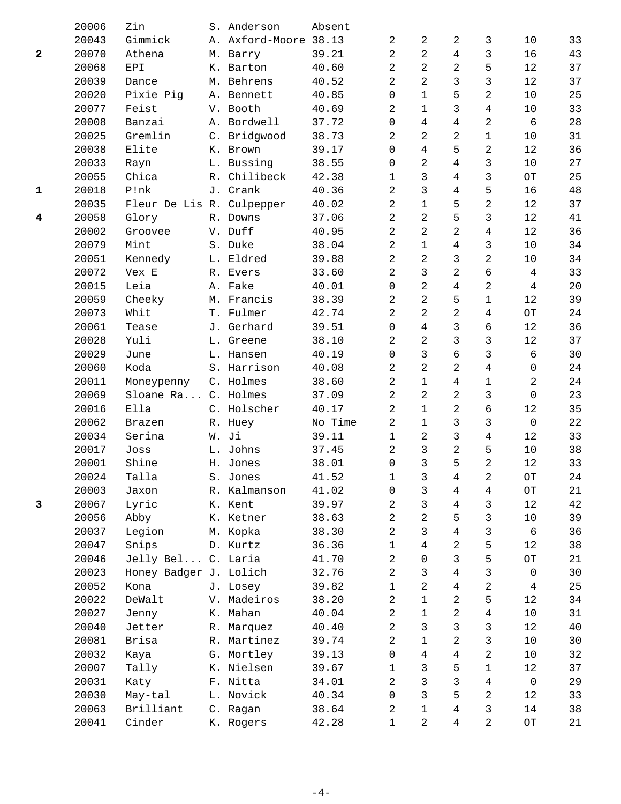|              | 20006          | Zin                       | S. Anderson           | Absent         |                |                |                     |                |                    |             |
|--------------|----------------|---------------------------|-----------------------|----------------|----------------|----------------|---------------------|----------------|--------------------|-------------|
|              | 20043          | Gimmick                   | A. Axford-Moore 38.13 |                | $\overline{a}$ | 2              | $\overline{a}$      | 3              | 10                 | 33          |
| $\mathbf{2}$ | 20070          | Athena                    | M. Barry              | 39.21          | $\overline{2}$ | $\overline{2}$ | $\overline{4}$      | 3              | 16                 | 43          |
|              | 20068          | EPI                       | K. Barton             | 40.60          | $\overline{a}$ | 2              | 2                   | 5              | 12                 | 37          |
|              | 20039          | Dance                     | M. Behrens            | 40.52          | 2              | 2              | 3                   | 3              | 12                 | 37          |
|              | 20020          | Pixie Pig                 | A. Bennett            | 40.85          | 0              | $\mathbf{1}$   | 5                   | 2              | 10                 | 25          |
|              | 20077          | Feist                     | V. Booth              | 40.69          | $\overline{c}$ | $\mathbf 1$    | 3                   | 4              | $10$               | 33          |
|              | 20008          | Banzai                    | A. Bordwell           | 37.72          | $\Omega$       | 4              | 4                   | 2              | 6                  | 28          |
|              | 20025          | Gremlin                   | C. Bridgwood          | 38.73          | 2              | 2              | 2                   | $\mathbf{1}$   | 10                 | 31          |
|              | 20038          | Elite                     | K. Brown              | 39.17          | 0              | 4              | 5                   | 2              | 12                 | 36          |
|              | 20033          | Rayn                      | L. Bussing            | 38.55          | 0              | 2              | $\overline{4}$      | 3              | 10                 | 27          |
|              | 20055          | Chica                     | R. Chilibeck          | 42.38          | $\mathbf{1}$   | 3              | 4                   | 3              | OТ                 | 25          |
| 1            | 20018          | P!nk                      | J. Crank              | 40.36          | 2              | 3              | 4                   | 5              | 16                 | 48          |
|              | 20035          | Fleur De Lis R. Culpepper |                       | 40.02          | $\overline{a}$ | $\mathbf 1$    | 5                   | 2              | 12                 | 37          |
| 4            | 20058          | Glory                     | R. Downs              | 37.06          | $\overline{a}$ | 2              | 5                   | 3              | 12                 | 41          |
|              | 20002          | Groovee                   | V. Duff               | 40.95          | $\overline{2}$ | $\overline{2}$ | $\overline{2}$      | 4              | 12                 | 36          |
|              | 20079          | Mint                      | S. Duke               | 38.04          | 2              | 1              | 4                   | 3              | 10                 | 34          |
|              | 20051          | Kennedy                   | L. Eldred             | 39.88          | $\overline{a}$ | 2              | 3                   | 2              | $10$               | 34          |
|              | 20072          | Vex E                     | R. Evers              | 33.60          | $\overline{2}$ | 3              | $\overline{2}$      | $\sqrt{6}$     | $\overline{4}$     | 33          |
|              | 20015          | Leia                      | A. Fake               | 40.01          | $\Omega$       | $\overline{2}$ | $\overline{4}$      | 2              | 4                  | 20          |
|              | 20059          | Cheeky                    | M. Francis            | 38.39          | 2              | 2              | 5                   | $\mathbf{1}$   | 12                 | 39          |
|              | 20073          | Whit                      | T. Fulmer             | 42.74          | $\overline{2}$ | 2              | 2                   | $\overline{4}$ | $\hbox{OT}$        | 24          |
|              | 20061          | Tease                     | J. Gerhard            | 39.51          | 0              | 4              | 3                   | 6              | 12                 | 36          |
|              | 20028          | Yuli                      | L. Greene             | 38.10          | $\overline{2}$ | $\overline{2}$ | 3                   | 3              | 12                 | 37          |
|              | 20029          | June                      | L. Hansen             | 40.19          | 0              | 3              | б                   | 3              | 6                  | 30          |
|              | 20060          | Koda                      | S. Harrison           | 40.08          | 2              | 2              | 2                   | 4              | 0                  | 24          |
|              | 20011          | Moneypenny                | C. Holmes             | 38.60          | $\overline{2}$ | $\mathbf{1}$   | $\overline{4}$      | $\mathbf{1}$   | $\overline{a}$     | 24          |
|              | 20069          | Sloane Ra                 | C. Holmes             | 37.09          | $\overline{2}$ | $\overline{2}$ | $\overline{a}$      | 3              | $\mathbf 0$        | 23          |
|              | 20016          | Ella                      | C. Holscher           | 40.17          | 2              | $\mathbf 1$    | $\overline{2}$      | $\sqrt{6}$     | 12                 | 35          |
|              | 20062          | Brazen                    | R. Huey               | No Time        | 2              | $\mathbf 1$    | 3                   | 3              | $\mathbf 0$        | 22          |
|              | 20034          | Serina                    | W. Ji                 | 39.11          | $\mathbf{1}$   | 2              | 3                   | 4              | 12                 | 33          |
|              | 20017          | Joss                      | L. Johns              | 37.45          | 2              | 3              | $\overline{a}$      | 5              | 10                 | 38          |
|              | 20001          | Shine                     | H. Jones              | 38.01          | $\Omega$       | 3              | 5                   | 2              | 12                 | 33          |
|              | 20024          | Talla                     | S. Jones              | 41.52          | $\mathbf{1}$   | 3              | 4                   | 2              | $\hbox{OT}$        | 24          |
|              | 20003          |                           |                       | 41.02          |                |                |                     |                |                    | 21          |
|              | 20067          | Jaxon<br>Lyric            | R. Kalmanson          | 39.97          | 0              | 3<br>3         | 4<br>$\overline{4}$ | 4              | ОT<br>12           | $4\sqrt{2}$ |
| 3            |                |                           | K. Kent<br>K. Ketner  |                | 2<br>2         | 2              |                     | 3              |                    |             |
|              | 20056<br>20037 | Abby<br>Legion            |                       | 38.63<br>38.30 | 2              | 3              | 5                   | 3              | $10$               | 39<br>36    |
|              |                |                           | M. Kopka              |                | $\mathbf 1$    | 4              | 4                   | 3              | 6                  |             |
|              | 20047          | Snips                     | D. Kurtz              | 36.36          |                |                | 2                   | 5              | 12                 | 38          |
|              | 20046          | Jelly Bel C. Laria        |                       | 41.70          | 2              | 0              | 3                   | 5              | $\hbox{OT}$        | 21          |
|              | 20023          | Honey Badger J. Lolich    |                       | 32.76          | 2              | 3              | 4                   | 3              | 0                  | 30          |
|              | 20052          | Kona                      | J. Losey              | 39.82          | 1              | 2              | 4                   | 2              | 4                  | 25          |
|              | 20022          | DeWalt                    | V. Madeiros           | 38.20          | 2              | $\mathbf 1$    | 2                   | 5              | 12                 | 34          |
|              | 20027          | Jenny                     | K. Mahan              | 40.04          | 2              | $\mathbf{1}$   | 2                   | 4              | $10$               | 31          |
|              | 20040          | Jetter                    | R. Marquez            | 40.40          | 2              | 3              | 3                   | 3              | 12                 | 40          |
|              | 20081          | Brisa                     | R. Martinez           | 39.74          | 2              | 1              | 2                   | 3              | $10$               | 30          |
|              | 20032          | Kaya                      | G. Mortley            | 39.13          | 0              | 4              | 4                   | 2              | $10$               | 32          |
|              | 20007          | Tally                     | K. Nielsen            | 39.67          | 1              | 3              | 5                   | $\mathbf 1$    | 12                 | 37          |
|              | 20031          | Katy                      | F. Nitta              | 34.01          | 2              | 3              | 3                   | 4              | $\mathbf 0$        | 29          |
|              | 20030          | May-tal                   | L. Novick             | 40.34          | 0              | 3              | 5                   | 2              | 12                 | 33          |
|              | 20063          | Brilliant                 | C. Ragan              | 38.64          | 2              | 1              | 4                   | 3              | 14                 | 38          |
|              | 20041          | Cinder                    | K. Rogers             | 42.28          | $\mathbf{1}$   | 2              | $\overline{4}$      | $\overline{2}$ | $\hbox{O}\hbox{T}$ | 21          |

-4-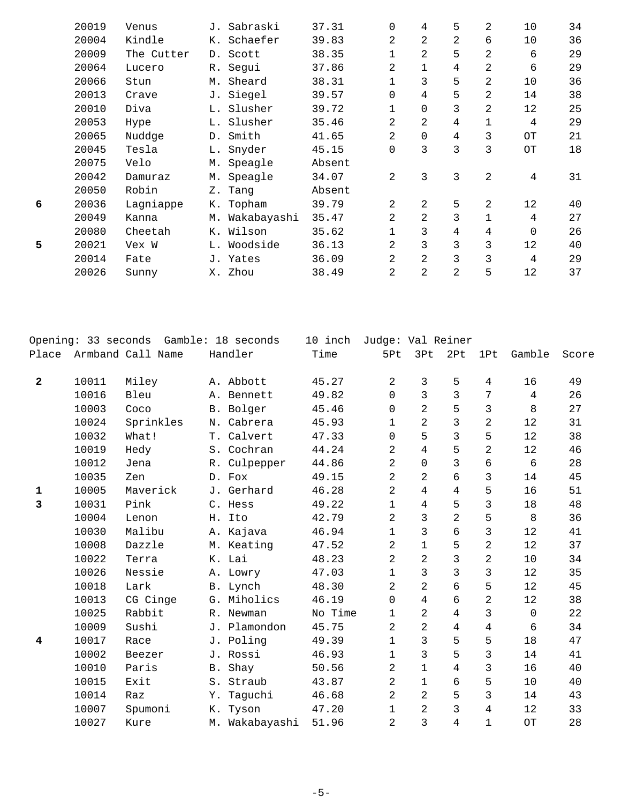|   | 20019 | Venus      | J.    | Sabraski    | 37.31  | $\Omega$       | 4              | 5              | 2            | 10       | 34 |
|---|-------|------------|-------|-------------|--------|----------------|----------------|----------------|--------------|----------|----|
|   | 20004 | Kindle     | К.    | Schaefer    | 39.83  | 2              | 2              | $\overline{2}$ | 6            | 10       | 36 |
|   | 20009 | The Cutter | $D$ . | Scott       | 38.35  | $\mathbf{1}$   | $\overline{2}$ | 5              | 2            | 6        | 29 |
|   | 20064 | Lucero     | R.    | Segui       | 37.86  | $\overline{a}$ |                | 4              | 2            | 6        | 29 |
|   | 20066 | Stun       |       | M. Sheard   | 38.31  |                | 3              | 5              | 2            | 10       | 36 |
|   | 20013 | Crave      |       | J. Siegel   | 39.57  | $\Omega$       | 4              | 5              | 2            | 14       | 38 |
|   | 20010 | Diva       |       | L. Slusher  | 39.72  |                | 0              | 3              | 2            | 12       | 25 |
|   | 20053 | Hype       |       | L. Slusher  | 35.46  | 2              | $\mathfrak{D}$ | 4              |              | 4        | 29 |
|   | 20065 | Nuddge     |       | D. Smith    | 41.65  | $\mathfrak{D}$ | $\Omega$       | 4              | 3            | OТ       | 21 |
|   | 20045 | Tesla      |       | L. Snyder   | 45.15  | $\Omega$       | 3              | 3              | 3            | OT       | 18 |
|   | 20075 | Velo       |       | M. Speagle  | Absent |                |                |                |              |          |    |
|   | 20042 | Damuraz    | М.    | Speagle     | 34.07  | 2              | 3              | 3              | 2            | 4        | 31 |
|   | 20050 | Robin      |       | Z. Tang     | Absent |                |                |                |              |          |    |
| 6 | 20036 | Lagniappe  | К.    | Topham      | 39.79  | 2              | 2              | 5              | 2            | 12       | 40 |
|   | 20049 | Kanna      | М.    | Wakabayashi | 35.47  | $\mathfrak{D}$ | $\mathfrak{D}$ | 3              | $\mathbf{1}$ | 4        | 27 |
|   | 20080 | Cheetah    | Κ.    | Wilson      | 35.62  | 1              | 3              | 4              | 4            | $\Omega$ | 26 |
| 5 | 20021 | Vex W      | L.    | Woodside    | 36.13  | 2              | 3              | 3              | 3            | 12       | 40 |
|   | 20014 | Fate       | J.    | Yates       | 36.09  | $\mathfrak{D}$ | $\mathfrak{D}$ | 3              | 3            | 4        | 29 |
|   | 20026 | Sunny      | Х.    | Zhou        | 38.49  | $\overline{2}$ | $\overline{2}$ | 2              | 5            | 12       | 37 |
|   |       |            |       |             |        |                |                |                |              |          |    |

| Opening: 33 seconds<br>Gamble: 18 seconds |       | 10 inch           | Judge: Val Reiner |                |         |                |                |                |                |                |       |
|-------------------------------------------|-------|-------------------|-------------------|----------------|---------|----------------|----------------|----------------|----------------|----------------|-------|
| Place                                     |       | Armband Call Name |                   | Handler        | Time    | 5Pt            | 3Pt            | 2Pt            | 1Pt            | Gamble         | Score |
|                                           |       |                   |                   |                |         |                |                |                |                |                |       |
| $\mathbf{2}$                              | 10011 | Miley             |                   | A. Abbott      | 45.27   | 2              | 3              | 5              | 4              | 16             | 49    |
|                                           | 10016 | Bleu              |                   | A. Bennett     | 49.82   | $\Omega$       | 3              | 3              | 7              | $\overline{4}$ | 26    |
|                                           | 10003 | Coco              |                   | B. Bolger      | 45.46   | 0              | $\overline{2}$ | 5              | 3              | 8              | 27    |
|                                           | 10024 | Sprinkles         |                   | N. Cabrera     | 45.93   | $\mathbf{1}$   | $\overline{2}$ | 3              | $\overline{2}$ | 12             | 31    |
|                                           | 10032 | What!             | T.                | Calvert        | 47.33   | $\Omega$       | 5              | 3              | 5              | 12             | 38    |
|                                           | 10019 | Hedy              |                   | S. Cochran     | 44.24   | 2              | 4              | 5              | 2              | 12             | 46    |
|                                           | 10012 | Jena              | R.                | Culpepper      | 44.86   | 2              | 0              | $\overline{3}$ | 6              | 6              | 28    |
|                                           | 10035 | Zen               |                   | D. Fox         | 49.15   | 2              | $\overline{2}$ | 6              | 3              | 14             | 45    |
| 1                                         | 10005 | Maverick          |                   | J. Gerhard     | 46.28   | $\overline{2}$ | $\overline{4}$ | 4              | 5              | 16             | 51    |
| 3                                         | 10031 | Pink              |                   | C. Hess        | 49.22   | 1              | $\overline{4}$ | 5              | 3              | 18             | 48    |
|                                           | 10004 | Lenon             |                   | H. Ito         | 42.79   | 2              | 3              | 2              | 5              | 8              | 36    |
|                                           | 10030 | Malibu            |                   | A. Kajava      | 46.94   | $\mathbf{1}$   | 3              | 6              | 3              | 12             | 41    |
|                                           | 10008 | Dazzle            |                   | M. Keating     | 47.52   | $\overline{2}$ | $\mathbf 1$    | 5              | 2              | 12             | 37    |
|                                           | 10022 | Terra             |                   | K. Lai         | 48.23   | 2              | $\overline{2}$ | 3              | $\overline{2}$ | 10             | 34    |
|                                           | 10026 | Nessie            |                   | A. Lowry       | 47.03   | $\mathbf{1}$   | 3              | 3              | 3              | 12             | 35    |
|                                           | 10018 | Lark              |                   | B. Lynch       | 48.30   | 2              | $\overline{2}$ | 6              | 5              | 12             | 45    |
|                                           | 10013 | CG Cinge          |                   | G. Miholics    | 46.19   | 0              | $\overline{4}$ | 6              | $\overline{2}$ | 12             | 38    |
|                                           | 10025 | Rabbit            |                   | R. Newman      | No Time | $\mathbf{1}$   | 2              | 4              | 3              | $\mathbf 0$    | 22    |
|                                           | 10009 | Sushi             |                   | J. Plamondon   | 45.75   | 2              | $\overline{2}$ | 4              | 4              | 6              | 34    |
| 4                                         | 10017 | Race              |                   | J. Poling      | 49.39   | $\mathbf{1}$   | 3              | 5              | 5              | 18             | 47    |
|                                           | 10002 | Beezer            |                   | J. Rossi       | 46.93   | $\mathbf{1}$   | 3              | 5              | 3              | 14             | 41    |
|                                           | 10010 | Paris             | Β.                | Shay           | 50.56   | $\overline{a}$ | $\mathbf 1$    | 4              | 3              | 16             | 40    |
|                                           | 10015 | Exit              | $S$ .             | Straub         | 43.87   | 2              | $\mathbf{1}$   | 6              | 5              | 10             | 40    |
|                                           | 10014 | Raz               | Υ.                | Taguchi        | 46.68   | $\overline{2}$ | $\overline{2}$ | 5              | 3              | 14             | 43    |
|                                           | 10007 | Spumoni           | К.                | Tyson          | 47.20   | $\mathbf 1$    | $\overline{c}$ | 3              | 4              | 12             | 33    |
|                                           | 10027 | Kure              |                   | M. Wakabayashi | 51.96   | 2              | 3              | 4              | $\mathbf{1}$   | OT             | 28    |
|                                           |       |                   |                   |                |         |                |                |                |                |                |       |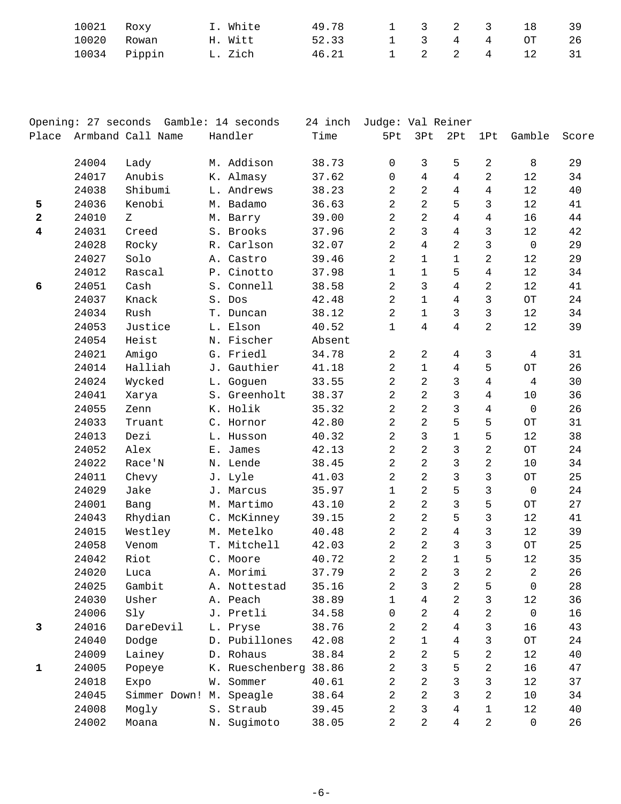| 10021        | Roxy  | I. White | 49.78 | 1 3 2                       |  | 18 | 39   |
|--------------|-------|----------|-------|-----------------------------|--|----|------|
| 10020        | Rowan | H. Witt  | 52.33 | 1 3 4 4                     |  | OT | -26  |
| 10034 Pippin |       | L. Zich  | 46.21 | $1 \quad 2 \quad 2 \quad 4$ |  | 12 | - 31 |

|                         | Opening: 27 seconds Gamble: 14 seconds |                   |    | 24 inch      | Judge: Val Reiner |                |                |                |                |                        |       |
|-------------------------|----------------------------------------|-------------------|----|--------------|-------------------|----------------|----------------|----------------|----------------|------------------------|-------|
| Place                   |                                        | Armband Call Name |    | Handler      | Time              | 5Pt            | 3Pt            | 2Pt            | 1Pt            | Gamble                 | Score |
|                         | 24004                                  | Lady              |    | M. Addison   | 38.73             | 0              | 3              | 5              | $\overline{2}$ | 8                      | 29    |
|                         | 24017                                  | Anubis            |    | K. Almasy    | 37.62             | 0              | $\overline{4}$ | $\overline{4}$ | $\overline{2}$ | 12                     | 34    |
|                         | 24038                                  | Shibumi           |    | L. Andrews   | 38.23             | 2              | 2              | $\overline{4}$ | $\overline{4}$ | 12                     | 40    |
| 5                       | 24036                                  | Kenobi            |    | M. Badamo    | 36.63             | 2              | 2              | 5              | 3              | 12                     | 41    |
| 2                       | 24010                                  | Ζ                 |    | M. Barry     | 39.00             | $\overline{a}$ | 2              | 4              | $\overline{4}$ | 16                     | 44    |
| $\overline{\mathbf{4}}$ | 24031                                  | Creed             |    | S. Brooks    | 37.96             | $\overline{a}$ | 3              | $\overline{4}$ | $\mathfrak{Z}$ | 12                     | 42    |
|                         | 24028                                  | Rocky             |    | R. Carlson   | 32.07             | $\overline{a}$ | $\overline{4}$ | $\overline{a}$ | $\mathfrak{Z}$ | $\mathsf{O}$           | 29    |
|                         | 24027                                  | Solo              |    | A. Castro    | 39.46             | $\overline{a}$ | $\mathbf 1$    | $\mathbf{1}$   | $\overline{2}$ | 12                     | 29    |
|                         | 24012                                  | Rascal            |    | P. Cinotto   | 37.98             | 1              | $\mathbf{1}$   | 5              | $\overline{4}$ | 12                     | 34    |
| 6                       | 24051                                  | Cash              |    | S. Connell   | 38.58             | $\overline{a}$ | 3              | 4              | $\overline{2}$ | 12                     | 41    |
|                         | 24037                                  | Knack             |    | S. Dos       | 42.48             | 2              | $\mathbf 1$    | $\overline{4}$ | $\mathfrak{Z}$ | $\hbox{OT}$            | 24    |
|                         | 24034                                  | Rush              |    | T. Duncan    | 38.12             | 2              | $\mathbf{1}$   | 3              | 3              | 12                     | 34    |
|                         | 24053                                  | Justice           |    | L. Elson     | 40.52             | $\mathbf 1$    | 4              | 4              | 2              | 12                     | 39    |
|                         | 24054                                  | Heist             |    | N. Fischer   | Absent            |                |                |                |                |                        |       |
|                         | 24021                                  | Amigo             |    | G. Friedl    | 34.78             | $\overline{2}$ | $\overline{2}$ | 4              | 3              | 4                      | 31    |
|                         | 24014                                  | Halliah           |    | J. Gauthier  | 41.18             | 2              | $\mathbf{1}$   | $\overline{4}$ | 5              | $\hbox{OT}$            | 26    |
|                         | 24024                                  | Wycked            |    | L. Goguen    | 33.55             | 2              | 2              | 3              | $\overline{4}$ | 4                      | 30    |
|                         | 24041                                  | Xarya             |    | S. Greenholt | 38.37             | $\overline{a}$ | 2              | $\mathbf{3}$   | 4              | 10                     | 36    |
|                         | 24055                                  | Zenn              |    | K. Holik     | 35.32             | $\overline{a}$ | 2              | $\mathsf{3}$   | $\overline{4}$ | $\mathsf{O}\xspace$    | 26    |
|                         | 24033                                  | Truant            |    | C. Hornor    | 42.80             | 2              | 2              | 5              | 5              | $\hbox{OT}$            | 31    |
|                         | 24013                                  | Dezi              |    | L. Husson    | 40.32             | 2              | 3              | $\mathbf{1}$   | 5              | 12                     | 38    |
|                         | 24052                                  | Alex              |    | E. James     | 42.13             | $\overline{2}$ | 2              | $\mathbf{3}$   | $\overline{a}$ | $\overline{\text{OT}}$ | 24    |
|                         | 24022                                  | Race'N            |    | N. Lende     | 38.45             | $\overline{a}$ | 2              | 3              | $\overline{2}$ | $10$                   | 34    |
|                         | 24011                                  | Chevy             |    | J. Lyle      | 41.03             | $\overline{a}$ | $\overline{a}$ | $\overline{3}$ | $\mathfrak{Z}$ | $\overline{\text{OT}}$ | 25    |
|                         | 24029                                  | Jake              |    | J. Marcus    | 35.97             | $\mathbf{1}$   | 2              | 5              | 3              | $\mathbf 0$            | 24    |
|                         | 24001                                  | Bang              |    | M. Martimo   | 43.10             | $\overline{a}$ | 2              | $\mathbf{3}$   | 5              | OТ                     | 27    |
|                         | 24043                                  | Rhydian           |    | C. McKinney  | 39.15             | $\overline{a}$ | 2              | 5              | 3              | 12                     | 41    |
|                         | 24015                                  | Westley           |    | M. Metelko   | 40.48             | $\overline{a}$ | $\overline{a}$ | $\overline{4}$ | $\mathfrak{Z}$ | 12                     | 39    |
|                         | 24058                                  | Venom             |    | T. Mitchell  | 42.03             | 2              | 2              | 3              | 3              | $\hbox{OT}$            | 25    |
|                         | 24042                                  | Riot              |    | C. Moore     | 40.72             | $\overline{a}$ | $\overline{a}$ | $\mathbf{1}$   | 5              | $12$                   | 35    |
|                         | 24020                                  | Luca              |    | A. Morimi    | 37.79             | $\overline{a}$ | $\overline{a}$ | $\mathsf{3}$   | $\overline{a}$ | $\overline{a}$         | 26    |
|                         | 24025                                  | Gambit            | Α. | Nottestad    | 35.16             | 2              | 3              | 2              | 5              | 0                      | 28    |
|                         | 24030                                  | Usher             |    | A. Peach     | 38.89             | 1              | $\overline{4}$ | 2              | 3              | 12                     | 36    |
|                         | 24006                                  | Sly               |    | J. Pretli    | 34.58             | 0              | 2              | 4              | 2              | 0                      | 16    |
| 3                       | 24016                                  | DareDevil         |    | L. Pryse     | 38.76             | $\overline{a}$ | 2              | 4              | 3              | 16                     | 43    |
|                         | 24040                                  | Dodge             | D. | Pubillones   | 42.08             | $\overline{c}$ | $\mathbf 1$    | 4              | 3              | $\hbox{OT}$            | 24    |
|                         | 24009                                  | Lainey            | D. | Rohaus       | 38.84             | $\overline{a}$ | 2              | 5              | 2              | 12                     | 40    |
| 1                       | 24005                                  | Popeye            | К. | Rueschenberg | 38.86             | $\overline{a}$ | 3              | 5              | 2              | 16                     | 47    |
|                         | 24018                                  | Expo              | W. | Sommer       | 40.61             | $\overline{c}$ | 2              | 3              | 3              | 12                     | 37    |
|                         | 24045                                  | Simmer Down!      | М. | Speagle      | 38.64             | $\overline{a}$ | 2              | 3              | 2              | $10$                   | 34    |
|                         | 24008                                  | Mogly             | S. | Straub       | 39.45             | $\overline{c}$ | 3              | 4              | 1              | 12                     | 40    |
|                         | 24002                                  | Moana             | Ν. | Sugimoto     | 38.05             | 2              | 2              | 4              | 2              | 0                      | 26    |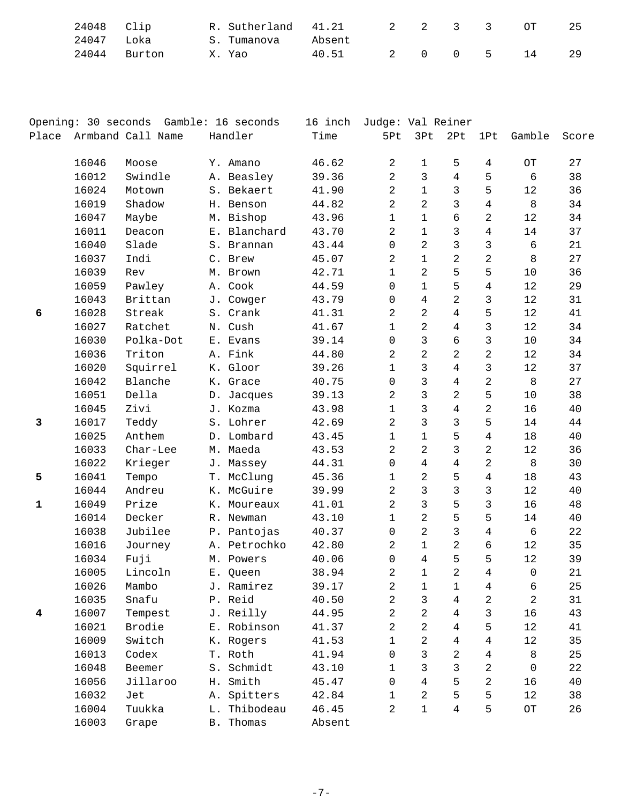| 24048 | Clip   | R. Sutherland 41.21 |        |  | 2 2 3 3 | OT | 25 |
|-------|--------|---------------------|--------|--|---------|----|----|
| 24047 | Loka   | S. Tumanova         | Absent |  |         |    |    |
| 24044 | Burton | X. Yao              | 40.51  |  | 2 0 0 5 | 14 | 29 |

|              | Opening: 30 seconds<br>Gamble: 16 seconds |                   | 16 inch   | Judge: Val Reiner |        |                     |                         |                |                |                     |       |
|--------------|-------------------------------------------|-------------------|-----------|-------------------|--------|---------------------|-------------------------|----------------|----------------|---------------------|-------|
| Place        |                                           | Armband Call Name |           | Handler           | Time   | 5Pt                 | 3Pt                     | 2Pt            | 1Pt            | Gamble              | Score |
|              | 16046                                     | Moose             |           | Y. Amano          | 46.62  | 2                   | $\mathbf{1}$            | 5              | 4              | $\hbox{O}\hbox{T}$  | 27    |
|              | 16012                                     | Swindle           |           | A. Beasley        | 39.36  | 2                   | 3                       | $\overline{4}$ | 5              | $\sqrt{6}$          | 38    |
|              | 16024                                     | Motown            |           | S. Bekaert        | 41.90  | 2                   | $\mathbf{1}$            | $\mathbf{3}$   | 5              | 12                  | 36    |
|              | 16019                                     | Shadow            |           | H. Benson         | 44.82  | 2                   | $\overline{c}$          | 3              | 4              | 8                   | 34    |
|              | 16047                                     | Maybe             |           | M. Bishop         | 43.96  | $\mathbf{1}$        | $\mathbf{1}$            | 6              | 2              | 12                  | 34    |
|              | 16011                                     | Deacon            |           | E. Blanchard      | 43.70  | 2                   | $\mathbf{1}$            | $\mathsf{3}$   | 4              | 14                  | 37    |
|              | 16040                                     | Slade             |           | S. Brannan        | 43.44  | 0                   | $\overline{a}$          | $\overline{3}$ | 3              | 6                   | 21    |
|              | 16037                                     | Indi              |           | C. Brew           | 45.07  | 2                   | $\mathbf{1}$            | $\overline{a}$ | $\overline{2}$ | 8                   | 27    |
|              | 16039                                     | Rev               |           | M. Brown          | 42.71  | $\mathbf 1$         | $\overline{c}$          | 5              | 5              | 10                  | 36    |
|              | 16059                                     | Pawley            |           | A. Cook           | 44.59  | $\mathsf{O}\xspace$ | $\mathbf{1}$            | 5              | 4              | 12                  | 29    |
|              | 16043                                     | Brittan           |           | J. Cowger         | 43.79  | 0                   | $\overline{4}$          | $\overline{2}$ | 3              | 12                  | 31    |
| 6            | 16028                                     | Streak            | S.        | Crank             | 41.31  | 2                   | $\sqrt{2}$              | 4              | 5              | 12                  | 41    |
|              | 16027                                     | Ratchet           | Ν.        | Cush              | 41.67  | $\mathbf 1$         | $\overline{c}$          | 4              | 3              | 12                  | 34    |
|              | 16030                                     | Polka-Dot         |           | E. Evans          | 39.14  | $\mathsf{O}\xspace$ | 3                       | 6              | 3              | $10$                | 34    |
|              | 16036                                     | Triton            |           | A. Fink           | 44.80  | $\overline{c}$      | $\overline{\mathbf{c}}$ | $\overline{2}$ | 2              | 12                  | 34    |
|              | 16020                                     | Squirrel          |           | K. Gloor          | 39.26  | $\mathbf 1$         | 3                       | $\overline{4}$ | 3              | 12                  | 37    |
|              | 16042                                     | Blanche           |           | K. Grace          | 40.75  | $\mathsf{O}\xspace$ | 3                       | $\overline{4}$ | 2              | 8                   | 27    |
|              | 16051                                     | Della             |           | D. Jacques        | 39.13  | 2                   | 3                       | $\overline{a}$ | 5              | $10$                | 38    |
|              | 16045                                     | Zivi              |           | J. Kozma          | 43.98  | 1                   | 3                       | $\overline{4}$ | 2              | 16                  | 40    |
| 3            | 16017                                     | Teddy             |           | S. Lohrer         | 42.69  | $\overline{2}$      | 3                       | $\mathsf{3}$   | 5              | 14                  | 44    |
|              | 16025                                     | Anthem            |           | D. Lombard        | 43.45  | 1                   | $\mathbf{1}$            | 5              | 4              | 18                  | $40$  |
|              | 16033                                     | Char-Lee          |           | M. Maeda          | 43.53  | 2                   | $\overline{2}$          | 3              | 2              | 12                  | 36    |
|              | 16022                                     | Krieger           |           | J. Massey         | 44.31  | $\mathsf{O}\xspace$ | $\overline{4}$          | $\overline{4}$ | 2              | 8                   | 30    |
| 5            | 16041                                     | Tempo             | Τ.        | McClung           | 45.36  | $\mathbf{1}$        | $\overline{a}$          | 5              | $\overline{4}$ | 18                  | 43    |
|              | 16044                                     | Andreu            | К.        | McGuire           | 39.99  | 2                   | 3                       | 3              | 3              | 12                  | 40    |
| $\mathbf{1}$ | 16049                                     | Prize             |           | K. Moureaux       | 41.01  | 2                   | 3                       | 5              | 3              | 16                  | 48    |
|              | 16014                                     | Decker            |           | R. Newman         | 43.10  | 1                   | $\overline{a}$          | 5              | 5              | 14                  | 40    |
|              | 16038                                     | Jubilee           |           | P. Pantojas       | 40.37  | 0                   | $\overline{a}$          | $\overline{3}$ | $\overline{4}$ | $\epsilon$          | 22    |
|              | 16016                                     | Journey           |           | A. Petrochko      | 42.80  | 2                   | $\mathbf{1}$            | $\overline{a}$ | 6              | 12                  | 35    |
|              | 16034                                     | Fuji              |           | M. Powers         | 40.06  | 0                   | $\overline{4}$          | 5              | 5              | $1\,2$              | 39    |
|              | 16005                                     | Lincoln           |           | E. Queen          | 38.94  | $\overline{a}$      | $\mathbf{1}$            | $\overline{a}$ | 4              | $\mathsf{O}\xspace$ | 21    |
|              | 16026                                     | Mambo             |           | J. Ramirez        | 39.17  | 2                   | $\mathbf{1}$            | 1              | 4              | 6                   | 25    |
|              | 16035                                     | Snafu             |           | P. Reid           | 40.50  | 2                   | 3                       | 4              | 2              | 2                   | 31    |
| 4            | 16007                                     | Tempest           | J.        | Reilly            | 44.95  | 2                   | 2                       | 4              | 3              | 16                  | 43    |
|              | 16021                                     | Brodie            | $E$ .     | Robinson          | 41.37  | $\overline{2}$      | 2                       | 4              | 5              | $1\,2$              | 41    |
|              | 16009                                     | Switch            | К.        | Rogers            | 41.53  | 1                   | 2                       | 4              | 4              | $1\,2$              | 35    |
|              | 16013                                     | Codex             | Τ.        | Roth              | 41.94  | $\mathbf 0$         | 3                       | $\overline{c}$ | 4              | 8                   | 25    |
|              | 16048                                     | Beemer            | S.        | Schmidt           | 43.10  | 1                   | 3                       | 3              | 2              | 0                   | 22    |
|              | 16056                                     | Jillaroo          | Η.        | Smith             | 45.47  | $\mathsf{O}\xspace$ | $\overline{4}$          | 5              | 2              | 16                  | 40    |
|              | 16032                                     | Jet               | Α.        | Spitters          | 42.84  | 1                   | $\overline{a}$          | 5              | 5              | 12                  | 38    |
|              | 16004                                     | Tuukka            | L.        | Thibodeau         | 46.45  | 2                   | $\mathbf 1$             | $\overline{4}$ | 5              | $\hbox{OT}$         | 26    |
|              | 16003                                     | Grape             | <b>B.</b> | Thomas            | Absent |                     |                         |                |                |                     |       |